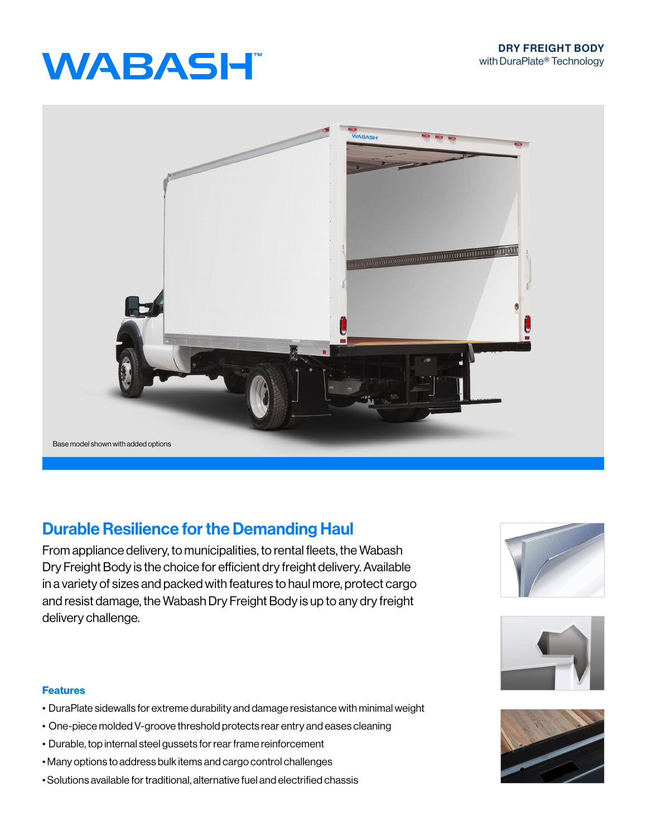# **WABASH**



### Durable Resilience for the Demanding Haul

From appliance delivery, to municipalities, to rental fleets, the Wabash Dry Freight Body is the choice for efficient dry freight delivery. Available in a variety of sizes and packed with features to haul more, protect cargo and resist damage, the Wabash Dry Freight Body is up to any dry freight delivery challenge.





#### Features

- DuraPlate sidewalls for extreme durability and damage resistance with minimal weight
- One-piece molded V-groove threshold protects rear entry and eases cleaning
- Durable, top internal steel gussets for rear frame reinforcement
- Many options to address bulk items and cargo control challenges
- Solutions available for traditional, alternative fuel and electrified chassis